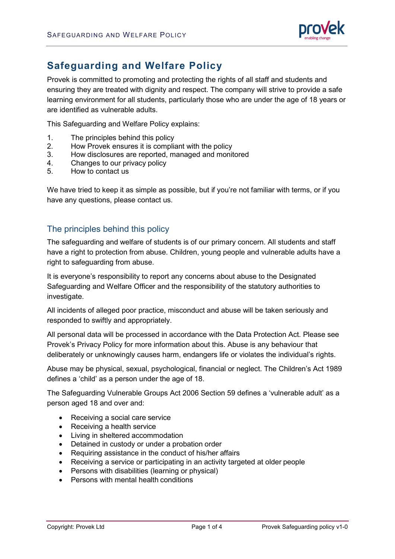

# **Safeguarding and Welfare Policy**

Provek is committed to promoting and protecting the rights of all staff and students and ensuring they are treated with dignity and respect. The company will strive to provide a safe learning environment for all students, particularly those who are under the age of 18 years or are identified as vulnerable adults.

This Safeguarding and Welfare Policy explains:

- 1. The principles behind this policy
- 2. How Provek ensures it is compliant with the policy
- 3. How disclosures are reported, managed and monitored
- 4. Changes to our privacy policy
- 5. How to contact us

We have tried to keep it as simple as possible, but if you're not familiar with terms, or if you have any questions, please contact us.

#### The principles behind this policy

The safeguarding and welfare of students is of our primary concern. All students and staff have a right to protection from abuse. Children, young people and vulnerable adults have a right to safeguarding from abuse.

It is everyone's responsibility to report any concerns about abuse to the Designated Safeguarding and Welfare Officer and the responsibility of the statutory authorities to investigate.

All incidents of alleged poor practice, misconduct and abuse will be taken seriously and responded to swiftly and appropriately.

All personal data will be processed in accordance with the Data Protection Act. Please see Provek's [Privacy Policy](https://www.corndel.com/wp-content/uploads/2018/01/Corndel-Data-protection-v0.1.pdf) for more information about this. Abuse is any behaviour that deliberately or unknowingly causes harm, endangers life or violates the individual's rights.

Abuse may be physical, sexual, psychological, financial or neglect. The Children's Act 1989 defines a 'child' as a person under the age of 18.

The Safeguarding Vulnerable Groups Act 2006 Section 59 defines a 'vulnerable adult' as a person aged 18 and over and:

- Receiving a social care service
- Receiving a health service
- Living in sheltered accommodation
- Detained in custody or under a probation order
- Requiring assistance in the conduct of his/her affairs
- Receiving a service or participating in an activity targeted at older people
- Persons with disabilities (learning or physical)
- Persons with mental health conditions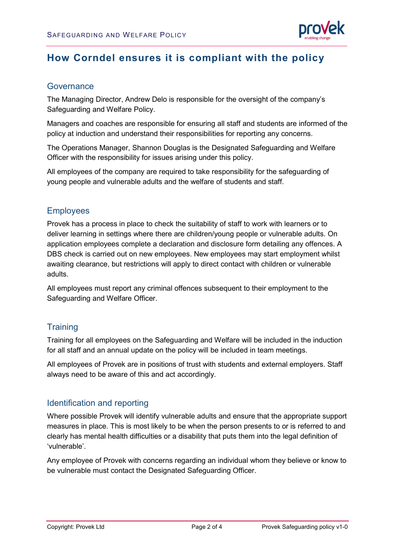

# **How Corndel ensures it is compliant with the policy**

#### Governance

The Managing Director, Andrew Delo is responsible for the oversight of the company's Safeguarding and Welfare Policy.

Managers and coaches are responsible for ensuring all staff and students are informed of the policy at induction and understand their responsibilities for reporting any concerns.

The Operations Manager, Shannon Douglas is the Designated Safeguarding and Welfare Officer with the responsibility for issues arising under this policy.

All employees of the company are required to take responsibility for the safeguarding of young people and vulnerable adults and the welfare of students and staff.

#### **Employees**

Provek has a process in place to check the suitability of staff to work with learners or to deliver learning in settings where there are children/young people or vulnerable adults. On application employees complete a declaration and disclosure form detailing any offences. A DBS check is carried out on new employees. New employees may start employment whilst awaiting clearance, but restrictions will apply to direct contact with children or vulnerable adults.

All employees must report any criminal offences subsequent to their employment to the Safeguarding and Welfare Officer.

### **Training**

Training for all employees on the Safeguarding and Welfare will be included in the induction for all staff and an annual update on the policy will be included in team meetings.

All employees of Provek are in positions of trust with students and external employers. Staff always need to be aware of this and act accordingly.

### Identification and reporting

Where possible Provek will identify vulnerable adults and ensure that the appropriate support measures in place. This is most likely to be when the person presents to or is referred to and clearly has mental health difficulties or a disability that puts them into the legal definition of 'vulnerable'.

Any employee of Provek with concerns regarding an individual whom they believe or know to be vulnerable must contact the Designated Safeguarding Officer.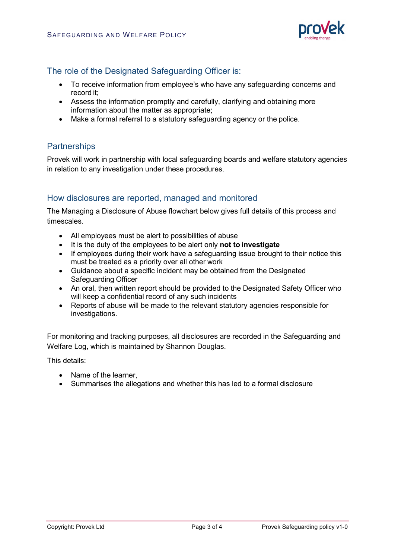

#### The role of the Designated Safeguarding Officer is:

- To receive information from employee's who have any safeguarding concerns and record it;
- Assess the information promptly and carefully, clarifying and obtaining more information about the matter as appropriate;
- Make a formal referral to a statutory safeguarding agency or the police.

### **Partnerships**

Provek will work in partnership with local safeguarding boards and welfare statutory agencies in relation to any investigation under these procedures.

#### How disclosures are reported, managed and monitored

The Managing a Disclosure of Abuse flowchart below gives full details of this process and timescales.

- All employees must be alert to possibilities of abuse
- It is the duty of the employees to be alert only **not to investigate**
- If employees during their work have a safeguarding issue brought to their notice this must be treated as a priority over all other work
- Guidance about a specific incident may be obtained from the Designated Safeguarding Officer
- An oral, then written report should be provided to the Designated Safety Officer who will keep a confidential record of any such incidents
- Reports of abuse will be made to the relevant statutory agencies responsible for investigations.

For monitoring and tracking purposes, all disclosures are recorded in the Safeguarding and Welfare Log, which is maintained by Shannon Douglas.

This details:

- Name of the learner,
- Summarises the allegations and whether this has led to a formal disclosure